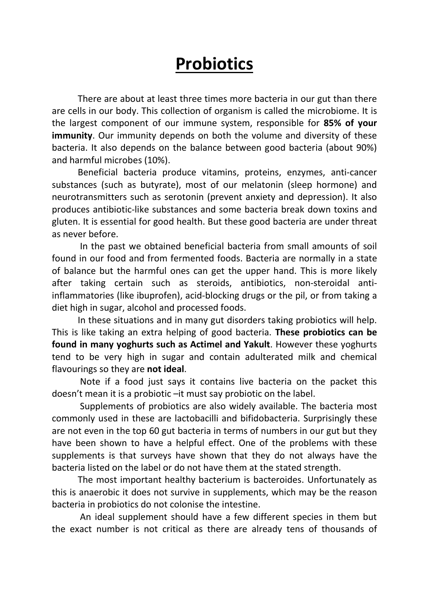## Probiotics

There are about at least three times more bacteria in our gut than there are cells in our body. This collection of organism is called the microbiome. It is the largest component of our immune system, responsible for 85% of your **immunity**. Our immunity depends on both the volume and diversity of these bacteria. It also depends on the balance between good bacteria (about 90%) and harmful microbes (10%).

Beneficial bacteria produce vitamins, proteins, enzymes, anti-cancer substances (such as butyrate), most of our melatonin (sleep hormone) and neurotransmitters such as serotonin (prevent anxiety and depression). It also produces antibiotic-like substances and some bacteria break down toxins and gluten. It is essential for good health. But these good bacteria are under threat as never before.

 In the past we obtained beneficial bacteria from small amounts of soil found in our food and from fermented foods. Bacteria are normally in a state of balance but the harmful ones can get the upper hand. This is more likely after taking certain such as steroids, antibiotics, non-steroidal antiinflammatories (like ibuprofen), acid-blocking drugs or the pil, or from taking a diet high in sugar, alcohol and processed foods.

 In these situations and in many gut disorders taking probiotics will help. This is like taking an extra helping of good bacteria. These probiotics can be found in many yoghurts such as Actimel and Yakult. However these yoghurts tend to be very high in sugar and contain adulterated milk and chemical flavourings so they are not ideal.

 Note if a food just says it contains live bacteria on the packet this doesn't mean it is a probiotic –it must say probiotic on the label.

 Supplements of probiotics are also widely available. The bacteria most commonly used in these are lactobacilli and bifidobacteria. Surprisingly these are not even in the top 60 gut bacteria in terms of numbers in our gut but they have been shown to have a helpful effect. One of the problems with these supplements is that surveys have shown that they do not always have the bacteria listed on the label or do not have them at the stated strength.

 The most important healthy bacterium is bacteroides. Unfortunately as this is anaerobic it does not survive in supplements, which may be the reason bacteria in probiotics do not colonise the intestine.

 An ideal supplement should have a few different species in them but the exact number is not critical as there are already tens of thousands of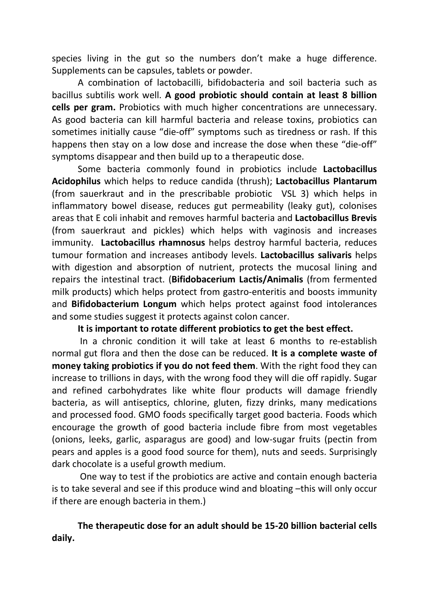species living in the gut so the numbers don't make a huge difference. Supplements can be capsules, tablets or powder.

A combination of lactobacilli, bifidobacteria and soil bacteria such as bacillus subtilis work well. A good probiotic should contain at least 8 billion cells per gram. Probiotics with much higher concentrations are unnecessary. As good bacteria can kill harmful bacteria and release toxins, probiotics can sometimes initially cause "die-off" symptoms such as tiredness or rash. If this happens then stay on a low dose and increase the dose when these "die-off" symptoms disappear and then build up to a therapeutic dose.

Some bacteria commonly found in probiotics include Lactobacillus Acidophilus which helps to reduce candida (thrush); Lactobacillus Plantarum (from sauerkraut and in the prescribable probiotic VSL 3) which helps in inflammatory bowel disease, reduces gut permeability (leaky gut), colonises areas that E coli inhabit and removes harmful bacteria and Lactobacillus Brevis (from sauerkraut and pickles) which helps with vaginosis and increases immunity. Lactobacillus rhamnosus helps destroy harmful bacteria, reduces tumour formation and increases antibody levels. Lactobacillus salivaris helps with digestion and absorption of nutrient, protects the mucosal lining and repairs the intestinal tract. (Bifidobacerium Lactis/Animalis (from fermented milk products) which helps protect from gastro-enteritis and boosts immunity and Bifidobacterium Longum which helps protect against food intolerances and some studies suggest it protects against colon cancer.

It is important to rotate different probiotics to get the best effect.

 In a chronic condition it will take at least 6 months to re-establish normal gut flora and then the dose can be reduced. It is a complete waste of money taking probiotics if you do not feed them. With the right food they can increase to trillions in days, with the wrong food they will die off rapidly. Sugar and refined carbohydrates like white flour products will damage friendly bacteria, as will antiseptics, chlorine, gluten, fizzy drinks, many medications and processed food. GMO foods specifically target good bacteria. Foods which encourage the growth of good bacteria include fibre from most vegetables (onions, leeks, garlic, asparagus are good) and low-sugar fruits (pectin from pears and apples is a good food source for them), nuts and seeds. Surprisingly dark chocolate is a useful growth medium.

 One way to test if the probiotics are active and contain enough bacteria is to take several and see if this produce wind and bloating –this will only occur if there are enough bacteria in them.)

## The therapeutic dose for an adult should be 15-20 billion bacterial cells daily.